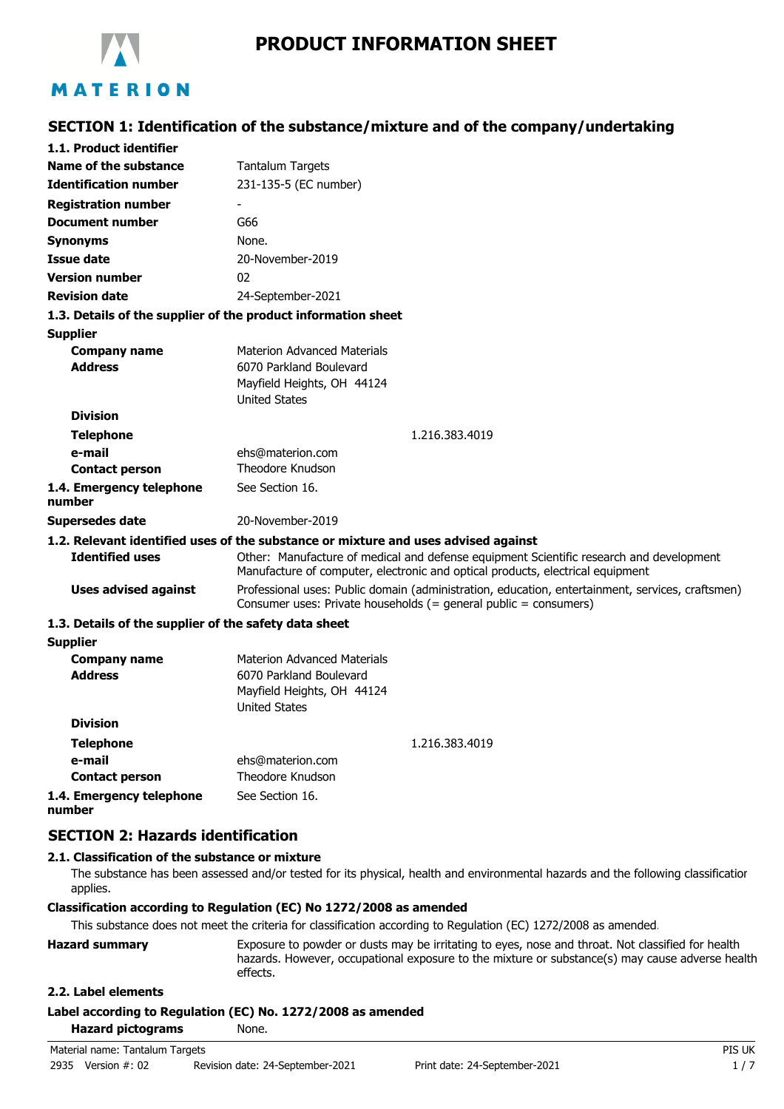

**SECTION 1: Identification of the substance/mixture and of the company/undertaking**

| 1.1. Product identifier                               |                                                                                                                                                                           |  |
|-------------------------------------------------------|---------------------------------------------------------------------------------------------------------------------------------------------------------------------------|--|
| Name of the substance                                 | <b>Tantalum Targets</b>                                                                                                                                                   |  |
| <b>Identification number</b>                          | 231-135-5 (EC number)                                                                                                                                                     |  |
| <b>Registration number</b>                            |                                                                                                                                                                           |  |
| <b>Document number</b>                                | G66                                                                                                                                                                       |  |
| <b>Synonyms</b>                                       | None.                                                                                                                                                                     |  |
| <b>Issue date</b>                                     | 20-November-2019                                                                                                                                                          |  |
| <b>Version number</b>                                 | 02                                                                                                                                                                        |  |
| <b>Revision date</b>                                  | 24-September-2021                                                                                                                                                         |  |
|                                                       | 1.3. Details of the supplier of the product information sheet                                                                                                             |  |
| <b>Supplier</b>                                       |                                                                                                                                                                           |  |
| <b>Company name</b>                                   | <b>Materion Advanced Materials</b>                                                                                                                                        |  |
| <b>Address</b>                                        | 6070 Parkland Boulevard                                                                                                                                                   |  |
|                                                       | Mayfield Heights, OH 44124                                                                                                                                                |  |
| <b>Division</b>                                       | <b>United States</b>                                                                                                                                                      |  |
|                                                       |                                                                                                                                                                           |  |
| <b>Telephone</b>                                      | 1.216.383.4019                                                                                                                                                            |  |
| e-mail<br><b>Contact person</b>                       | ehs@materion.com<br>Theodore Knudson                                                                                                                                      |  |
|                                                       | See Section 16.                                                                                                                                                           |  |
| 1.4. Emergency telephone<br>number                    |                                                                                                                                                                           |  |
| Supersedes date                                       | 20-November-2019                                                                                                                                                          |  |
|                                                       | 1.2. Relevant identified uses of the substance or mixture and uses advised against                                                                                        |  |
| <b>Identified uses</b>                                | Other: Manufacture of medical and defense equipment Scientific research and development<br>Manufacture of computer, electronic and optical products, electrical equipment |  |
| <b>Uses advised against</b>                           | Professional uses: Public domain (administration, education, entertainment, services, craftsmen)<br>Consumer uses: Private households (= general public = consumers)      |  |
| 1.3. Details of the supplier of the safety data sheet |                                                                                                                                                                           |  |
| <b>Supplier</b>                                       |                                                                                                                                                                           |  |
| <b>Company name</b>                                   | <b>Materion Advanced Materials</b>                                                                                                                                        |  |
| <b>Address</b>                                        | 6070 Parkland Boulevard                                                                                                                                                   |  |
|                                                       | Mayfield Heights, OH 44124                                                                                                                                                |  |
| <b>Division</b>                                       | <b>United States</b>                                                                                                                                                      |  |
|                                                       |                                                                                                                                                                           |  |
| <b>Telephone</b><br>e-mail                            | 1.216.383.4019<br>ehs@materion.com                                                                                                                                        |  |
| <b>Contact person</b>                                 | Theodore Knudson                                                                                                                                                          |  |
| 1.4. Emergency telephone                              | See Section 16.                                                                                                                                                           |  |
| number                                                |                                                                                                                                                                           |  |

## **SECTION 2: Hazards identification**

### **2.1. Classification of the substance or mixture**

The substance has been assessed and/or tested for its physical, health and environmental hazards and the following classification applies.

#### **Classification according to Regulation (EC) No 1272/2008 as amended**

This substance does not meet the criteria for classification according to Regulation (EC) 1272/2008 as amended.

| <b>Hazard summary</b> | Exposure to powder or dusts may be irritating to eyes, nose and throat. Not classified for health |
|-----------------------|---------------------------------------------------------------------------------------------------|
|                       | hazards. However, occupational exposure to the mixture or substance(s) may cause adverse health   |
|                       | effects.                                                                                          |

## **2.2. Label elements**

#### **Label according to Regulation (EC) No. 1272/2008 as amended**

**Hazard pictograms** None.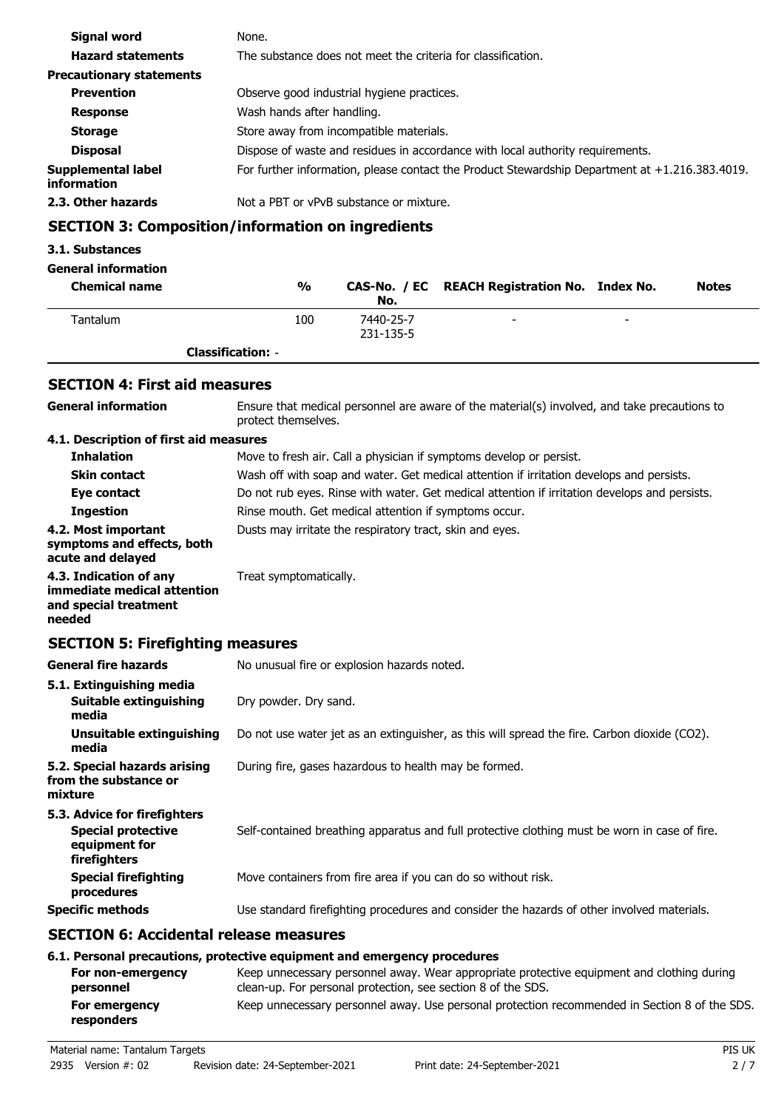| Signal word                       | None.                                                                                          |  |
|-----------------------------------|------------------------------------------------------------------------------------------------|--|
| <b>Hazard statements</b>          | The substance does not meet the criteria for classification.                                   |  |
| <b>Precautionary statements</b>   |                                                                                                |  |
| <b>Prevention</b>                 | Observe good industrial hygiene practices.                                                     |  |
| <b>Response</b>                   | Wash hands after handling.                                                                     |  |
| <b>Storage</b>                    | Store away from incompatible materials.                                                        |  |
| <b>Disposal</b>                   | Dispose of waste and residues in accordance with local authority requirements.                 |  |
| Supplemental label<br>information | For further information, please contact the Product Stewardship Department at +1.216.383.4019. |  |
| 2.3. Other hazards                | Not a PBT or vPvB substance or mixture.                                                        |  |

## **SECTION 3: Composition/information on ingredients**

## **3.1. Substances**

## **General information**

| <b>Chemical name</b> | $\frac{0}{0}$            | No.                    | CAS-No. / EC REACH Registration No. Index No. |                          | <b>Notes</b> |
|----------------------|--------------------------|------------------------|-----------------------------------------------|--------------------------|--------------|
| Tantalum             | 100                      | 7440-25-7<br>231-135-5 | -                                             | $\overline{\phantom{0}}$ |              |
|                      | <b>Classification: -</b> |                        |                                               |                          |              |

# **SECTION 4: First aid measures**

| <b>General information</b>                                                                 | Ensure that medical personnel are aware of the material(s) involved, and take precautions to<br>protect themselves.                                                                                                                   |  |  |
|--------------------------------------------------------------------------------------------|---------------------------------------------------------------------------------------------------------------------------------------------------------------------------------------------------------------------------------------|--|--|
| 4.1. Description of first aid measures                                                     |                                                                                                                                                                                                                                       |  |  |
| <b>Inhalation</b>                                                                          | Move to fresh air. Call a physician if symptoms develop or persist.                                                                                                                                                                   |  |  |
| <b>Skin contact</b>                                                                        | Wash off with soap and water. Get medical attention if irritation develops and persists.                                                                                                                                              |  |  |
| Eye contact                                                                                | Do not rub eyes. Rinse with water. Get medical attention if irritation develops and persists.                                                                                                                                         |  |  |
| <b>Ingestion</b>                                                                           | Rinse mouth. Get medical attention if symptoms occur.                                                                                                                                                                                 |  |  |
| 4.2. Most important<br>symptoms and effects, both<br>acute and delayed                     | Dusts may irritate the respiratory tract, skin and eyes.                                                                                                                                                                              |  |  |
| 4.3. Indication of any<br>immediate medical attention<br>and special treatment<br>needed   | Treat symptomatically.                                                                                                                                                                                                                |  |  |
| <b>SECTION 5: Firefighting measures</b>                                                    |                                                                                                                                                                                                                                       |  |  |
| <b>General fire hazards</b>                                                                | No unusual fire or explosion hazards noted.                                                                                                                                                                                           |  |  |
| 5.1. Extinguishing media                                                                   |                                                                                                                                                                                                                                       |  |  |
| <b>Suitable extinguishing</b><br>media                                                     | Dry powder. Dry sand.                                                                                                                                                                                                                 |  |  |
| <b>Unsuitable extinguishing</b><br>media                                                   | Do not use water jet as an extinguisher, as this will spread the fire. Carbon dioxide (CO2).                                                                                                                                          |  |  |
| 5.2. Special hazards arising<br>from the substance or<br>mixture                           | During fire, gases hazardous to health may be formed.                                                                                                                                                                                 |  |  |
| 5.3. Advice for firefighters<br><b>Special protective</b><br>equipment for<br>firefighters | Self-contained breathing apparatus and full protective clothing must be worn in case of fire.                                                                                                                                         |  |  |
| <b>Special firefighting</b><br>procedures                                                  | Move containers from fire area if you can do so without risk.                                                                                                                                                                         |  |  |
| <b>Specific methods</b>                                                                    | Use standard firefighting procedures and consider the hazards of other involved materials.                                                                                                                                            |  |  |
| <b>SECTION 6: Accidental release measures</b>                                              |                                                                                                                                                                                                                                       |  |  |
| For non-emergency<br>narconnal                                                             | 6.1. Personal precautions, protective equipment and emergency procedures<br>Keep unnecessary personnel away. Wear appropriate protective equipment and clothing during<br>clean-un. For personal protection, see section 8 of the SDS |  |  |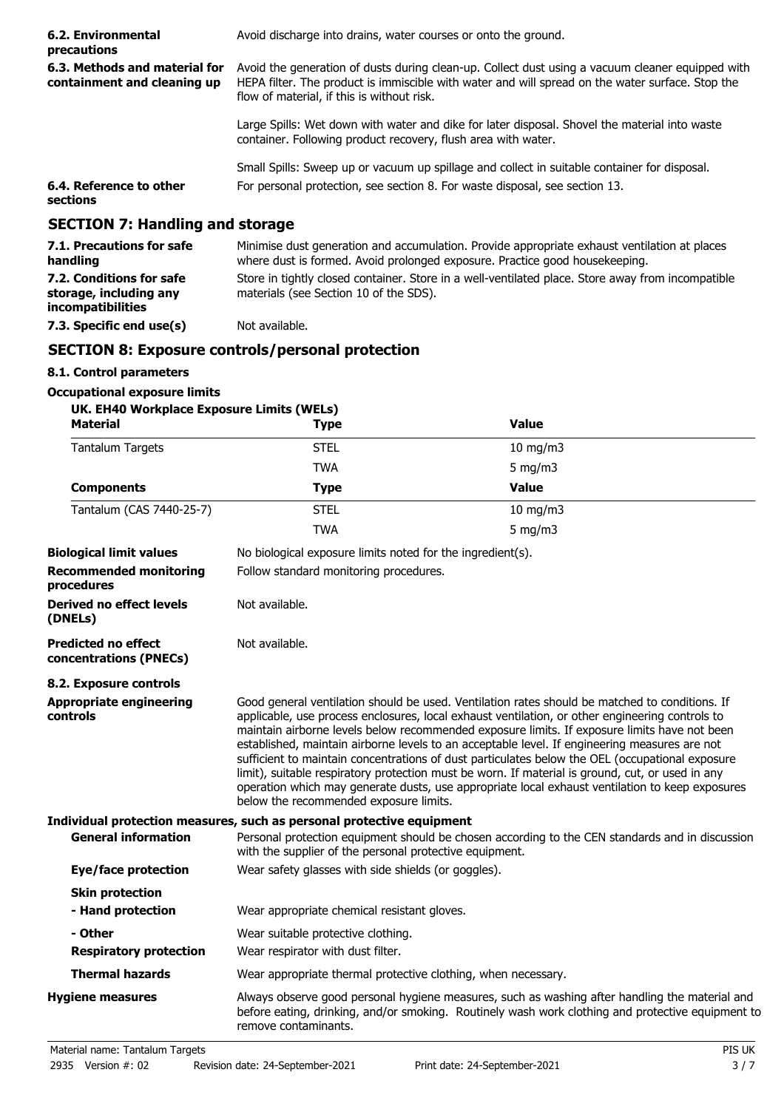| 6.2. Environmental<br>precautions                                              | Avoid discharge into drains, water courses or onto the ground.                                                                                                                                                                                     |  |
|--------------------------------------------------------------------------------|----------------------------------------------------------------------------------------------------------------------------------------------------------------------------------------------------------------------------------------------------|--|
| 6.3. Methods and material for<br>containment and cleaning up                   | Avoid the generation of dusts during clean-up. Collect dust using a vacuum cleaner equipped with<br>HEPA filter. The product is immiscible with water and will spread on the water surface. Stop the<br>flow of material, if this is without risk. |  |
|                                                                                | Large Spills: Wet down with water and dike for later disposal. Shovel the material into waste<br>container. Following product recovery, flush area with water.                                                                                     |  |
|                                                                                | Small Spills: Sweep up or vacuum up spillage and collect in suitable container for disposal.                                                                                                                                                       |  |
| 6.4. Reference to other<br>sections                                            | For personal protection, see section 8. For waste disposal, see section 13.                                                                                                                                                                        |  |
| <b>SECTION 7: Handling and storage</b>                                         |                                                                                                                                                                                                                                                    |  |
| 7.1. Precautions for safe<br>handling                                          | Minimise dust generation and accumulation. Provide appropriate exhaust ventilation at places<br>where dust is formed. Avoid prolonged exposure. Practice good house keeping.                                                                       |  |
| 7.2. Conditions for safe<br>storage, including any<br><i>incompatibilities</i> | Store in tightly closed container. Store in a well-ventilated place. Store away from incompatible<br>materials (see Section 10 of the SDS).                                                                                                        |  |
| 7.3. Specific end use(s)                                                       | Not available.                                                                                                                                                                                                                                     |  |

## **SECTION 8: Exposure controls/personal protection**

## **8.1. Control parameters**

#### **Occupational exposure limits UK. EH40 Workplace Exposure Limits (WELs)**

| UK. EH40 WOrkplace Exposure Limits (WELS)<br><b>Material</b> | Type                                                                                                                                                                                                                                                                                                                                                                                                                                                                                                                                                                                                                                                                                                                                                   | <b>Value</b>                                                                                                                                                                                        |  |
|--------------------------------------------------------------|--------------------------------------------------------------------------------------------------------------------------------------------------------------------------------------------------------------------------------------------------------------------------------------------------------------------------------------------------------------------------------------------------------------------------------------------------------------------------------------------------------------------------------------------------------------------------------------------------------------------------------------------------------------------------------------------------------------------------------------------------------|-----------------------------------------------------------------------------------------------------------------------------------------------------------------------------------------------------|--|
| <b>Tantalum Targets</b>                                      | <b>STEL</b>                                                                                                                                                                                                                                                                                                                                                                                                                                                                                                                                                                                                                                                                                                                                            | 10 mg/m3                                                                                                                                                                                            |  |
|                                                              | <b>TWA</b>                                                                                                                                                                                                                                                                                                                                                                                                                                                                                                                                                                                                                                                                                                                                             | 5 mg/m $3$                                                                                                                                                                                          |  |
| <b>Components</b>                                            | <b>Type</b>                                                                                                                                                                                                                                                                                                                                                                                                                                                                                                                                                                                                                                                                                                                                            | <b>Value</b>                                                                                                                                                                                        |  |
| Tantalum (CAS 7440-25-7)                                     | <b>STEL</b>                                                                                                                                                                                                                                                                                                                                                                                                                                                                                                                                                                                                                                                                                                                                            | 10 mg/m3                                                                                                                                                                                            |  |
|                                                              | <b>TWA</b>                                                                                                                                                                                                                                                                                                                                                                                                                                                                                                                                                                                                                                                                                                                                             | 5 mg/m $3$                                                                                                                                                                                          |  |
| <b>Biological limit values</b>                               | No biological exposure limits noted for the ingredient(s).                                                                                                                                                                                                                                                                                                                                                                                                                                                                                                                                                                                                                                                                                             |                                                                                                                                                                                                     |  |
| <b>Recommended monitoring</b><br>procedures                  | Follow standard monitoring procedures.                                                                                                                                                                                                                                                                                                                                                                                                                                                                                                                                                                                                                                                                                                                 |                                                                                                                                                                                                     |  |
| <b>Derived no effect levels</b><br>(DNELs)                   | Not available.                                                                                                                                                                                                                                                                                                                                                                                                                                                                                                                                                                                                                                                                                                                                         |                                                                                                                                                                                                     |  |
| <b>Predicted no effect</b><br>concentrations (PNECs)         | Not available.                                                                                                                                                                                                                                                                                                                                                                                                                                                                                                                                                                                                                                                                                                                                         |                                                                                                                                                                                                     |  |
| 8.2. Exposure controls                                       |                                                                                                                                                                                                                                                                                                                                                                                                                                                                                                                                                                                                                                                                                                                                                        |                                                                                                                                                                                                     |  |
| <b>Appropriate engineering</b><br><b>controls</b>            | Good general ventilation should be used. Ventilation rates should be matched to conditions. If<br>applicable, use process enclosures, local exhaust ventilation, or other engineering controls to<br>maintain airborne levels below recommended exposure limits. If exposure limits have not been<br>established, maintain airborne levels to an acceptable level. If engineering measures are not<br>sufficient to maintain concentrations of dust particulates below the OEL (occupational exposure<br>limit), suitable respiratory protection must be worn. If material is ground, cut, or used in any<br>operation which may generate dusts, use appropriate local exhaust ventilation to keep exposures<br>below the recommended exposure limits. |                                                                                                                                                                                                     |  |
|                                                              | Individual protection measures, such as personal protective equipment                                                                                                                                                                                                                                                                                                                                                                                                                                                                                                                                                                                                                                                                                  |                                                                                                                                                                                                     |  |
| <b>General information</b>                                   | Personal protection equipment should be chosen according to the CEN standards and in discussion<br>with the supplier of the personal protective equipment.                                                                                                                                                                                                                                                                                                                                                                                                                                                                                                                                                                                             |                                                                                                                                                                                                     |  |
| Eye/face protection                                          | Wear safety glasses with side shields (or goggles).                                                                                                                                                                                                                                                                                                                                                                                                                                                                                                                                                                                                                                                                                                    |                                                                                                                                                                                                     |  |
| <b>Skin protection</b>                                       |                                                                                                                                                                                                                                                                                                                                                                                                                                                                                                                                                                                                                                                                                                                                                        |                                                                                                                                                                                                     |  |
| - Hand protection                                            | Wear appropriate chemical resistant gloves.                                                                                                                                                                                                                                                                                                                                                                                                                                                                                                                                                                                                                                                                                                            |                                                                                                                                                                                                     |  |
| - Other                                                      | Wear suitable protective clothing.                                                                                                                                                                                                                                                                                                                                                                                                                                                                                                                                                                                                                                                                                                                     |                                                                                                                                                                                                     |  |
| <b>Respiratory protection</b>                                | Wear respirator with dust filter.                                                                                                                                                                                                                                                                                                                                                                                                                                                                                                                                                                                                                                                                                                                      |                                                                                                                                                                                                     |  |
| <b>Thermal hazards</b>                                       | Wear appropriate thermal protective clothing, when necessary.                                                                                                                                                                                                                                                                                                                                                                                                                                                                                                                                                                                                                                                                                          |                                                                                                                                                                                                     |  |
| <b>Hygiene measures</b>                                      | remove contaminants.                                                                                                                                                                                                                                                                                                                                                                                                                                                                                                                                                                                                                                                                                                                                   | Always observe good personal hygiene measures, such as washing after handling the material and<br>before eating, drinking, and/or smoking. Routinely wash work clothing and protective equipment to |  |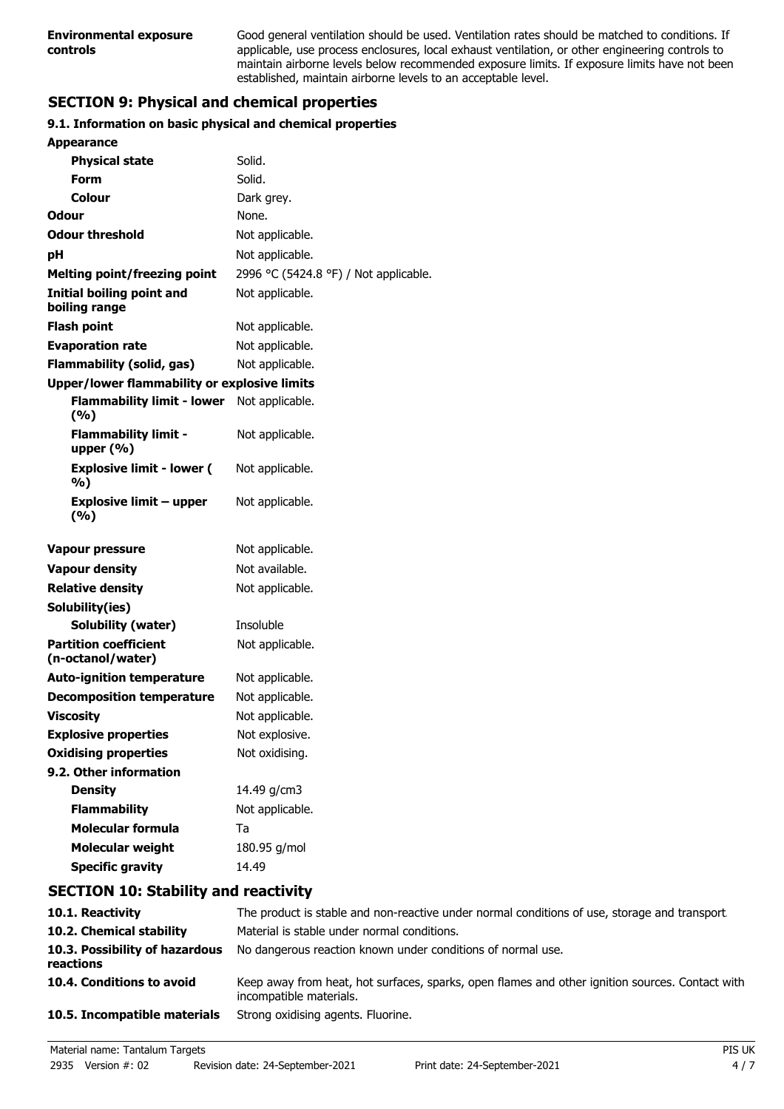Good general ventilation should be used. Ventilation rates should be matched to conditions. If applicable, use process enclosures, local exhaust ventilation, or other engineering controls to maintain airborne levels below recommended exposure limits. If exposure limits have not been established, maintain airborne levels to an acceptable level.

# **SECTION 9: Physical and chemical properties**

## **9.1. Information on basic physical and chemical properties**

| <b>Appearance</b>                                   |                                       |
|-----------------------------------------------------|---------------------------------------|
| <b>Physical state</b>                               | Solid.                                |
| Form                                                | Solid.                                |
| Colour                                              | Dark grey.                            |
| <b>Odour</b>                                        | None.                                 |
| <b>Odour threshold</b>                              | Not applicable.                       |
| рH                                                  | Not applicable.                       |
| <b>Melting point/freezing point</b>                 | 2996 °C (5424.8 °F) / Not applicable. |
| <b>Initial boiling point and</b><br>boiling range   | Not applicable.                       |
| <b>Flash point</b>                                  | Not applicable.                       |
| <b>Evaporation rate</b>                             | Not applicable.                       |
| <b>Flammability (solid, gas)</b>                    | Not applicable.                       |
| <b>Upper/lower flammability or explosive limits</b> |                                       |
| <b>Flammability limit - lower</b><br>(9/6)          | Not applicable.                       |
| <b>Flammability limit -</b><br>upper $(\% )$        | Not applicable.                       |
| <b>Explosive limit - lower (</b><br>%)              | Not applicable.                       |
| <b>Explosive limit - upper</b><br>(%)               | Not applicable.                       |
| <b>Vapour pressure</b>                              | Not applicable.                       |
| <b>Vapour density</b>                               | Not available.                        |
| <b>Relative density</b>                             | Not applicable.                       |
| Solubility(ies)                                     |                                       |
| <b>Solubility (water)</b>                           | Insoluble                             |
| <b>Partition coefficient</b><br>(n-octanol/water)   | Not applicable.                       |
| <b>Auto-ignition temperature</b>                    | Not applicable.                       |
| <b>Decomposition temperature</b>                    | Not applicable.                       |
| <b>Viscosity</b>                                    | Not applicable.                       |
| <b>Explosive properties</b>                         | Not explosive.                        |
| <b>Oxidising properties</b>                         | Not oxidising.                        |
| 9.2. Other information                              |                                       |
| <b>Density</b>                                      | 14.49 g/cm3                           |
| <b>Flammability</b>                                 | Not applicable.                       |
| <b>Molecular formula</b>                            | Ta                                    |
| <b>Molecular weight</b>                             | 180.95 g/mol                          |
| <b>Specific gravity</b>                             | 14.49                                 |

## **SECTION 10: Stability and reactivity**

| 10.1. Reactivity                            | The product is stable and non-reactive under normal conditions of use, storage and transport                               |
|---------------------------------------------|----------------------------------------------------------------------------------------------------------------------------|
| 10.2. Chemical stability                    | Material is stable under normal conditions.                                                                                |
| 10.3. Possibility of hazardous<br>reactions | No dangerous reaction known under conditions of normal use.                                                                |
| 10.4. Conditions to avoid                   | Keep away from heat, hot surfaces, sparks, open flames and other ignition sources. Contact with<br>incompatible materials. |
| 10.5. Incompatible materials                | Strong oxidising agents. Fluorine.                                                                                         |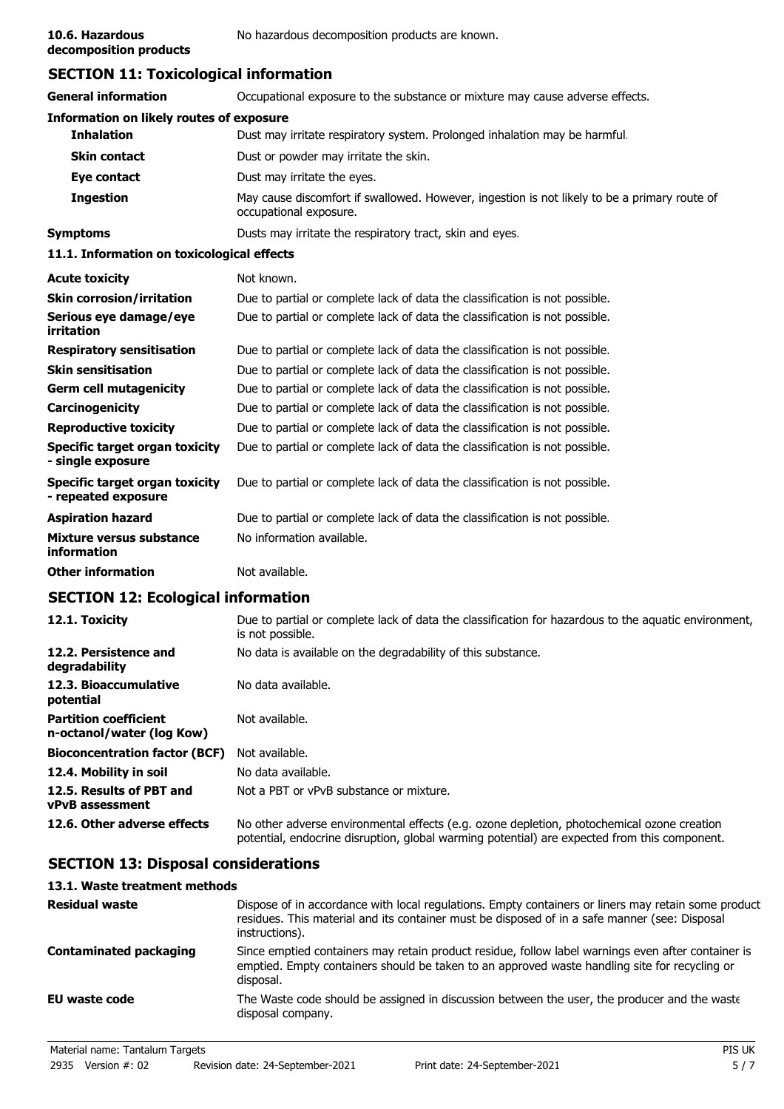**decomposition products**

## **SECTION 11: Toxicological information**

| <b>General information</b>                                   | Occupational exposure to the substance or mixture may cause adverse effects.                                           |  |  |
|--------------------------------------------------------------|------------------------------------------------------------------------------------------------------------------------|--|--|
| <b>Information on likely routes of exposure</b>              |                                                                                                                        |  |  |
| <b>Inhalation</b>                                            | Dust may irritate respiratory system. Prolonged inhalation may be harmful.                                             |  |  |
| <b>Skin contact</b>                                          | Dust or powder may irritate the skin.                                                                                  |  |  |
| Eye contact                                                  | Dust may irritate the eyes.                                                                                            |  |  |
| <b>Ingestion</b>                                             | May cause discomfort if swallowed. However, ingestion is not likely to be a primary route of<br>occupational exposure. |  |  |
| <b>Symptoms</b>                                              | Dusts may irritate the respiratory tract, skin and eyes.                                                               |  |  |
| 11.1. Information on toxicological effects                   |                                                                                                                        |  |  |
| <b>Acute toxicity</b>                                        | Not known.                                                                                                             |  |  |
| <b>Skin corrosion/irritation</b>                             | Due to partial or complete lack of data the classification is not possible.                                            |  |  |
| Serious eye damage/eye<br>irritation                         | Due to partial or complete lack of data the classification is not possible.                                            |  |  |
| <b>Respiratory sensitisation</b>                             | Due to partial or complete lack of data the classification is not possible.                                            |  |  |
| <b>Skin sensitisation</b>                                    | Due to partial or complete lack of data the classification is not possible.                                            |  |  |
| <b>Germ cell mutagenicity</b>                                | Due to partial or complete lack of data the classification is not possible.                                            |  |  |
| Carcinogenicity                                              | Due to partial or complete lack of data the classification is not possible.                                            |  |  |
| <b>Reproductive toxicity</b>                                 | Due to partial or complete lack of data the classification is not possible.                                            |  |  |
| <b>Specific target organ toxicity</b><br>- single exposure   | Due to partial or complete lack of data the classification is not possible.                                            |  |  |
| <b>Specific target organ toxicity</b><br>- repeated exposure | Due to partial or complete lack of data the classification is not possible.                                            |  |  |
| <b>Aspiration hazard</b>                                     | Due to partial or complete lack of data the classification is not possible.                                            |  |  |
| <b>Mixture versus substance</b><br>information               | No information available.                                                                                              |  |  |
| <b>Other information</b>                                     | Not available.                                                                                                         |  |  |
|                                                              |                                                                                                                        |  |  |

## **SECTION 12: Ecological information**

| 12.1. Toxicity                                            | Due to partial or complete lack of data the classification for hazardous to the aquatic environment,<br>is not possible.                                                                   |
|-----------------------------------------------------------|--------------------------------------------------------------------------------------------------------------------------------------------------------------------------------------------|
| 12.2. Persistence and<br>degradability                    | No data is available on the degradability of this substance.                                                                                                                               |
| 12.3. Bioaccumulative<br>potential                        | No data available.                                                                                                                                                                         |
| <b>Partition coefficient</b><br>n-octanol/water (log Kow) | Not available.                                                                                                                                                                             |
| <b>Bioconcentration factor (BCF)</b>                      | Not available.                                                                                                                                                                             |
| 12.4. Mobility in soil                                    | No data available.                                                                                                                                                                         |
| 12.5. Results of PBT and<br><b>vPvB</b> assessment        | Not a PBT or vPvB substance or mixture.                                                                                                                                                    |
| 12.6. Other adverse effects                               | No other adverse environmental effects (e.g. ozone depletion, photochemical ozone creation<br>potential, endocrine disruption, global warming potential) are expected from this component. |

## **SECTION 13: Disposal considerations**

## **13.1. Waste treatment methods**

| <b>Residual waste</b>         | Dispose of in accordance with local regulations. Empty containers or liners may retain some product<br>residues. This material and its container must be disposed of in a safe manner (see: Disposal<br>instructions). |
|-------------------------------|------------------------------------------------------------------------------------------------------------------------------------------------------------------------------------------------------------------------|
| <b>Contaminated packaging</b> | Since emptied containers may retain product residue, follow label warnings even after container is<br>emptied. Empty containers should be taken to an approved waste handling site for recycling or<br>disposal.       |
| EU waste code                 | The Waste code should be assigned in discussion between the user, the producer and the waste<br>disposal company.                                                                                                      |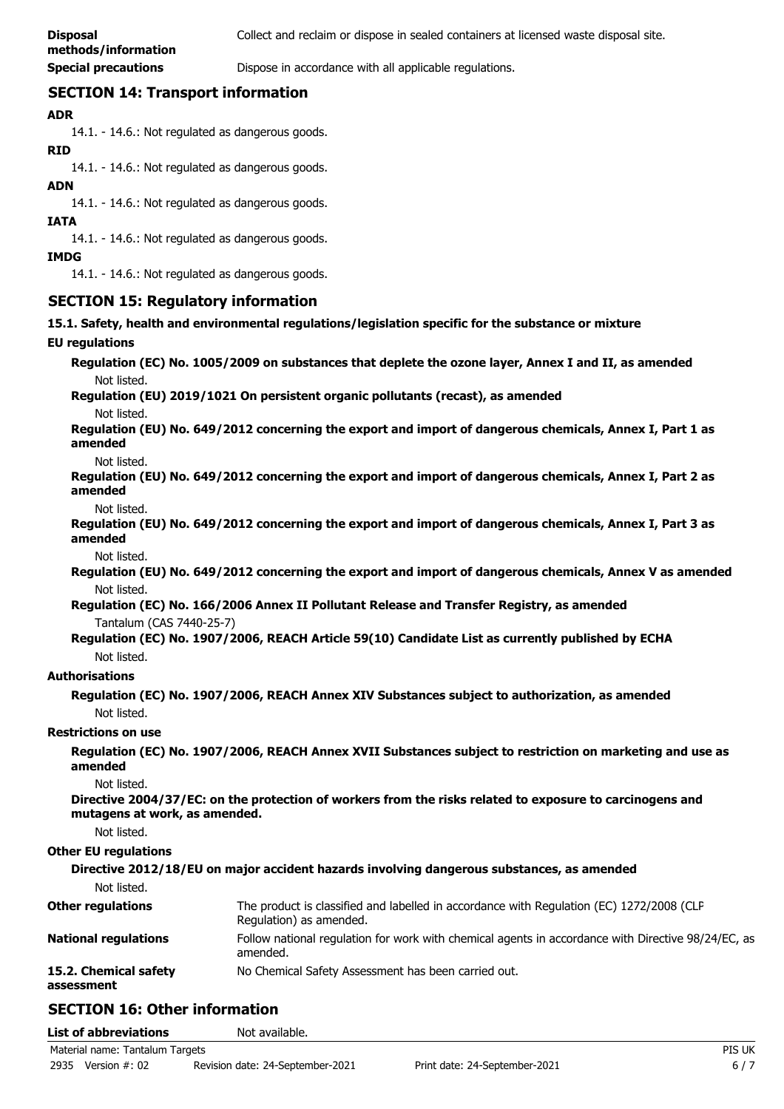**Special precautions Dispose in accordance with all applicable regulations.** 

## **SECTION 14: Transport information**

### **ADR**

14.1. - 14.6.: Not regulated as dangerous goods.

#### **RID**

14.1. - 14.6.: Not regulated as dangerous goods.

#### **ADN**

14.1. - 14.6.: Not regulated as dangerous goods.

#### **IATA**

14.1. - 14.6.: Not regulated as dangerous goods.

#### **IMDG**

14.1. - 14.6.: Not regulated as dangerous goods.

## **SECTION 15: Regulatory information**

**15.1. Safety, health and environmental regulations/legislation specific for the substance or mixture**

#### **EU regulations**

**Regulation (EC) No. 1005/2009 on substances that deplete the ozone layer, Annex I and II, as amended** Not listed.

**Regulation (EU) 2019/1021 On persistent organic pollutants (recast), as amended**

Not listed.

**Regulation (EU) No. 649/2012 concerning the export and import of dangerous chemicals, Annex I, Part 1 as amended**

Not listed.

**Regulation (EU) No. 649/2012 concerning the export and import of dangerous chemicals, Annex I, Part 2 as amended**

Not listed.

**Regulation (EU) No. 649/2012 concerning the export and import of dangerous chemicals, Annex I, Part 3 as amended**

Not listed.

**Regulation (EU) No. 649/2012 concerning the export and import of dangerous chemicals, Annex V as amended** Not listed.

**Regulation (EC) No. 166/2006 Annex II Pollutant Release and Transfer Registry, as amended** Tantalum (CAS 7440-25-7)

**Regulation (EC) No. 1907/2006, REACH Article 59(10) Candidate List as currently published by ECHA** Not listed.

#### **Authorisations**

**Regulation (EC) No. 1907/2006, REACH Annex XIV Substances subject to authorization, as amended** Not listed.

#### **Restrictions on use**

**Regulation (EC) No. 1907/2006, REACH Annex XVII Substances subject to restriction on marketing and use as amended**

Not listed.

**Directive 2004/37/EC: on the protection of workers from the risks related to exposure to carcinogens and mutagens at work, as amended.**

Not listed.

#### **Other EU regulations**

**Directive 2012/18/EU on major accident hazards involving dangerous substances, as amended** Not listed. The product is classified and labelled in accordance with Regulation (EC) 1272/2008 (CLP Regulation) as amended. **Other regulations** Follow national regulation for work with chemical agents in accordance with Directive 98/24/EC, as amended. **National regulations 15.2. Chemical safety** No Chemical Safety Assessment has been carried out. **assessment**

## **SECTION 16: Other information**

| <b>List of abbreviations</b>    |               | Not available.                   |                               |        |
|---------------------------------|---------------|----------------------------------|-------------------------------|--------|
| Material name: Tantalum Targets |               |                                  |                               | PIS UK |
| 2935                            | Version #: 02 | Revision date: 24-September-2021 | Print date: 24-September-2021 | $6/7$  |